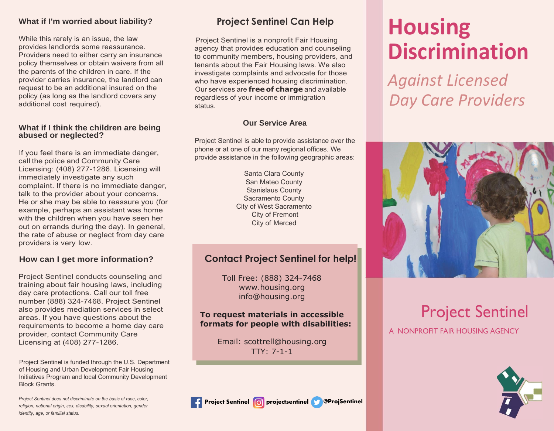## **What if I'm worried about liability?**

While this rarely is an issue, the law provides landlords some reassurance. Providers need to either carry an insurance policy themselves or obtain waivers from all the parents of the children in care. If the provider carries insurance, the landlord can request to be an additional insured on the policy (as long as the landlord covers any additional cost required).

#### **What if I think the children are being abused or neglected?**

If you feel there is an immediate danger, call the police and Community Care Licensing: (408) 277-1286. Licensing will immediately investigate any such complaint. If there is no immediate danger, talk to the provider about your concerns. He or she may be able to reassure you (for example, perhaps an assistant was home with the children when you have seen her out on errands during the day). In general, the rate of abuse or neglect from day care providers is very low.

## **How can I get more information?**

Project Sentinel conducts counseling and training about fair housing laws, including day care protections. Call our toll free number (888) 324-7468. Project Sentinel also provides mediation services in select areas. If you have questions about the requirements to become a home day care provider, contact Community Care Licensing at (408) 277-1286.

Project Sentinel is funded through the U.S. Department of Housing and Urban Development Fair Housing Initiatives Program and local Community Development Block Grants.

*Project Sentinel does not discriminate on the basis of race, color, religion, national origin, sex, disability, sexual orientation, gender identity, age, or familial status.*

## **Project Sentinel Can Help**

Project Sentinel is a nonprofit Fair Housing agency that provides education and counseling to community members, housing providers, and tenants about the Fair Housing laws. We also investigate complaints and advocate for those who have experienced housing discrimination. Our services are **free of charge** and available regardless of your income or immigration status.

## **Our Service Area**

Project Sentinel is able to provide assistance over the phone or at one of our many regional offices. We provide assistance in the following geographic areas:

> Santa Clara County San Mateo County Stanislaus County Sacramento County City of West Sacramento City of Fremont City of Merced

## **Contact Project Sentinel for help!**

Toll Free: (888) 324-7468 [www.housing.org](http://www.housing.org/) [info@housing.org](mailto:info@housing.org)

## **To request materials in accessible formats for people with disabilities:**

Email: [scottrell@housing.org](mailto:scottrell@housing.org) TTY: 7-1-1

# **Housing Discrimination**

*Against Licensed Day Care Providers*



## Project Sentinel

A NONPROFIT FAIR HOUSING AGENCY



**Project Sentinel projectsentinel @ProjSentinel**